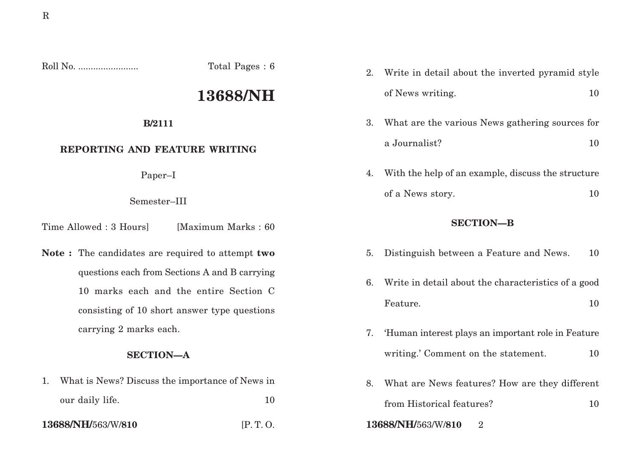Roll No. ........................ Total Pages : 6

# **13688/NH**

#### **B/2111**

# **REPORTING AND FEATURE WRITING**

Paper–I

Semester–III

Time Allowed : 3 Hoursl [Maximum Marks : 60]

**Note :** The candidates are required to attempt **two** questions each from Sections A and B carrying 10 marks each and the entire Section C consisting of 10 short answer type questions carrying 2 marks each.

### **SECTION—A**

1. What is News? Discuss the importance of News in our daily life. 10

2. Write in detail about the inverted pyramid style of News writing. 10

- 3. What are the various News gathering sources for a Journalist? 10
- 4. With the help of an example, discuss the structure of a News story. 10

# **SECTION—B**

- 5. Distinguish between a Feature and News. 10
- 6. Write in detail about the characteristics of a good Feature. 10
- 7. 'Human interest plays an important role in Feature writing.' Comment on the statement. 10
- 8. What are News features? How are they different from Historical features? 10
- **13688/NH/**563/W/**810** [P. T. O. **13688/NH/**563/W/**810** 2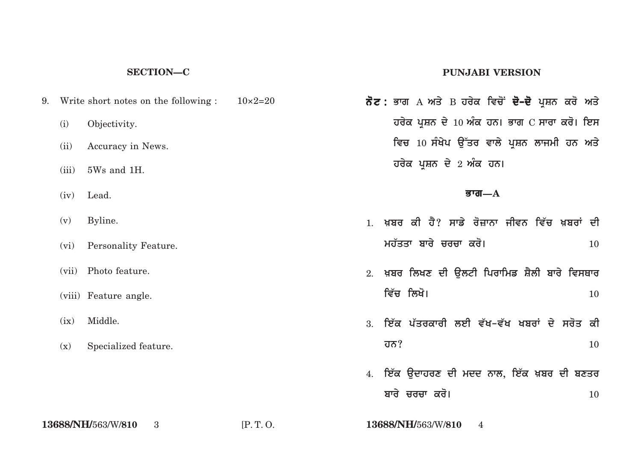#### **SECTION—C**

|      | 9. Write short notes on the following : $10\times2=20$ |  |
|------|--------------------------------------------------------|--|
| (i)  | Objectivity.                                           |  |
| (ii) | Accuracy in News.                                      |  |
|      | $(iii)$ 5Ws and 1H.                                    |  |
|      | $(iv)$ Lead.                                           |  |
|      | $(v)$ Byline.                                          |  |
|      | (vi) Personality Feature.                              |  |
|      | (vii) Photo feature.                                   |  |
|      |                                                        |  |

- (viii) Feature angle.
- (ix) Middle.
- (x) Specialized feature.

#### **PUNJABI VERSION**

*ਨੋਟ* **:** ਭਾਗ A ਅਤੇ B ਹਰੇਕ ਵਿਚੋਂ **ਦੋ–ਦੋ** ਪ੍ਰਸ਼ਨ ਕਰੋ ਅਤੇ **ਹਰੇਕ ਪ੍ਰਸ਼ਨ ਦੇ 10 ਅੰਕ ਹਨ। ਭਾਗ C ਸਾਰਾ ਕਰੋ। ਇਸ** ਵਿਚ 10 ਸੰਖੇਪ ਉੱਤਰ ਵਾਲੇ ਪ੍ਰਸ਼ਨ ਲਾਜਮੀ ਹਨ ਅਤੇ  $\overline{a}$ ਰਰੇਕ ਪ੍ਰਸ਼ਨ ਦੇ 2 ਅੰਕ ਹਨ।

#### **Bwg—A**

- 1. ਖ਼ਸ਼ਰ *ਕੀ ਹੈ*? ਸਾਡੇ ਰੋਜਾਨਾ ਜੀਵਨ ਵਿੱਚ ਖ਼ਸ਼ਰਾਂ ਦੀ **mh`qqw bwry crcw kro[** <sup>10</sup>
- 2. ਖ਼ਬਰ ਲਿਖਣ ਦੀ ਉਲਟੀ ਪਿਰਾਮਿਡ ਸ਼ੈਲੀ ਬਾਰੇ ਵਿਸਥਾਰ ਵਿੱਚ ਲਿਖੋ। 10
- 3. ਇੱਕ ਪੱਤਰਕਾਰੀ ਲਈ ਵੱਖ-ਵੱਖ ਖਬਰਾਂ ਦੇ ਸਰੋਤ ਕੀ **hn?** 10
- 4. ਇੱਕ **ੳਦਾਹਰਣ ਦੀ ਮਦਦ ਨਾਲ, ਇੱਕ ਖ਼ਬਰ ਦੀ ਬਣ**ਤਰ **bwry crcw kro[** <sup>10</sup>

**13688/NH/**563/W/**810** 3 [P. T. O. **13688/NH/**563/W/**810** 4